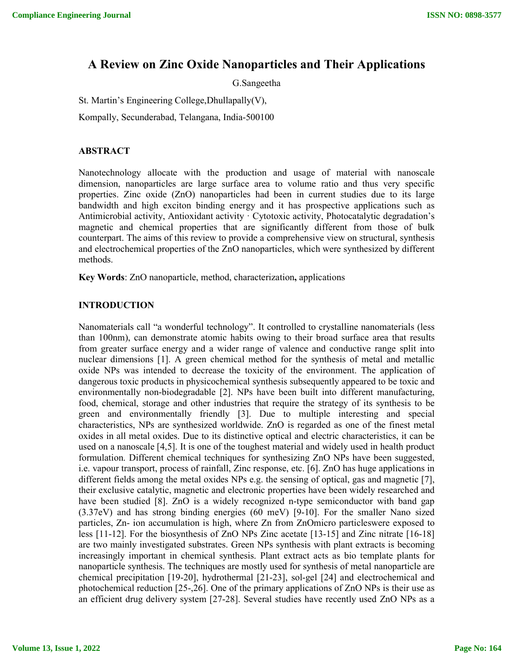# **A Review on Zinc Oxide Nanoparticles and Their Applications**

G.Sangeetha

St. Martin's Engineering College,Dhullapally(V), Kompally, Secunderabad, Telangana, India-500100

# **ABSTRACT**

Nanotechnology allocate with the production and usage of material with nanoscale dimension, nanoparticles are large surface area to volume ratio and thus very specific properties. Zinc oxide (ZnO) nanoparticles had been in current studies due to its large bandwidth and high exciton binding energy and it has prospective applications such as Antimicrobial activity, Antioxidant activity · Cytotoxic activity, Photocatalytic degradation's magnetic and chemical properties that are significantly different from those of bulk counterpart. The aims of this review to provide a comprehensive view on structural, synthesis and electrochemical properties of the ZnO nanoparticles, which were synthesized by different methods.

**Key Words**: ZnO nanoparticle, method, characterization**,** applications

# **INTRODUCTION**

Nanomaterials call "a wonderful technology". It controlled to crystalline nanomaterials (less than 100nm), can demonstrate atomic habits owing to their broad surface area that results from greater surface energy and a wider range of valence and conductive range split into nuclear dimensions [1]. A green chemical method for the synthesis of metal and metallic oxide NPs was intended to decrease the toxicity of the environment. The application of dangerous toxic products in physicochemical synthesis subsequently appeared to be toxic and environmentally non-biodegradable [2]. NPs have been built into different manufacturing, food, chemical, storage and other industries that require the strategy of its synthesis to be green and environmentally friendly [3]. Due to multiple interesting and special characteristics, NPs are synthesized worldwide. ZnO is regarded as one of the finest metal oxides in all metal oxides. Due to its distinctive optical and electric characteristics, it can be used on a nanoscale [4,5]. It is one of the toughest material and widely used in health product formulation. Different chemical techniques for synthesizing ZnO NPs have been suggested, i.e. vapour transport, process of rainfall, Zinc response, etc. [6]. ZnO has huge applications in different fields among the metal oxides NPs e.g. the sensing of optical, gas and magnetic [7], their exclusive catalytic, magnetic and electronic properties have been widely researched and have been studied [8]. ZnO is a widely recognized n-type semiconductor with band gap (3.37eV) and has strong binding energies (60 meV) [9-10]. For the smaller Nano sized particles, Zn- ion accumulation is high, where Zn from ZnOmicro particleswere exposed to less [11-12]. For the biosynthesis of ZnO NPs Zinc acetate [13-15] and Zinc nitrate [16-18] are two mainly investigated substrates. Green NPs synthesis with plant extracts is becoming increasingly important in chemical synthesis. Plant extract acts as bio template plants for nanoparticle synthesis. The techniques are mostly used for synthesis of metal nanoparticle are chemical precipitation [19-20], hydrothermal [21-23], sol-gel [24] and electrochemical and photochemical reduction [25-,26]. One of the primary applications of ZnO NPs is their use as an efficient drug delivery system [27-28]. Several studies have recently used ZnO NPs as a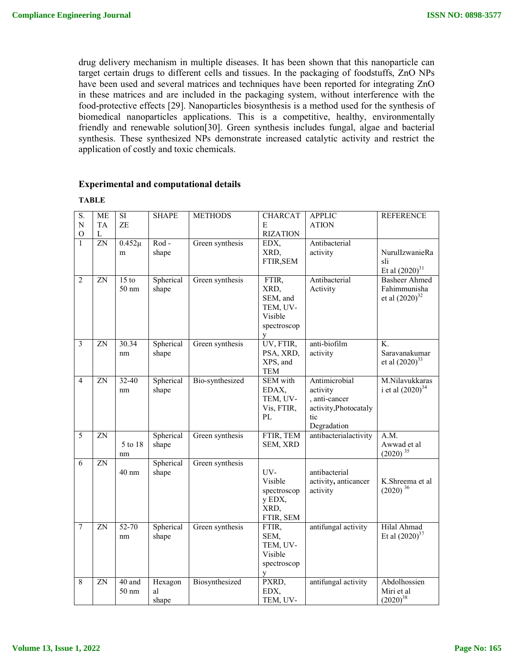drug delivery mechanism in multiple diseases. It has been shown that this nanoparticle can target certain drugs to different cells and tissues. In the packaging of foodstuffs, ZnO NPs have been used and several matrices and techniques have been reported for integrating ZnO in these matrices and are included in the packaging system, without interference with the food-protective effects [29]. Nanoparticles biosynthesis is a method used for the synthesis of biomedical nanoparticles applications. This is a competitive, healthy, environmentally friendly and renewable solution[30]. Green synthesis includes fungal, algae and bacterial synthesis. These synthesized NPs demonstrate increased catalytic activity and restrict the application of costly and toxic chemicals.

#### **Experimental and computational details**

| S.<br>${\bf N}$         | <b>ME</b><br><b>TA</b> | SI<br>ZE                               | <b>SHAPE</b>           | <b>METHODS</b>  | <b>CHARCAT</b><br>E                                                  | <b>APPLIC</b><br><b>ATION</b>                                                             | <b>REFERENCE</b>                                            |
|-------------------------|------------------------|----------------------------------------|------------------------|-----------------|----------------------------------------------------------------------|-------------------------------------------------------------------------------------------|-------------------------------------------------------------|
| $\mathcal{O}$           | L                      |                                        |                        |                 | <b>RIZATION</b>                                                      |                                                                                           |                                                             |
| $\mathbf{1}$            | $\overline{ZN}$        | $0.452\mu$<br>m                        | Rod-<br>shape          | Green synthesis | EDX,<br>XRD,<br>FTIR, SEM                                            | Antibacterial<br>activity                                                                 | NurulIzwanieRa<br>sli<br>Et al $(2020)^{31}$                |
| $\overline{2}$          | ZN                     | $15$ to<br>$50 \text{ nm}$             | Spherical<br>shape     | Green synthesis | FTIR,<br>XRD,<br>SEM, and<br>TEM, UV-<br>Visible<br>spectroscop<br>y | Antibacterial<br>Activity                                                                 | <b>Basheer Ahmed</b><br>Fahimmunisha<br>et al $(2020)^{32}$ |
| $\overline{\mathbf{3}}$ | ZN                     | 30.34<br>nm                            | Spherical<br>shape     | Green synthesis | UV, FTIR,<br>PSA, XRD,<br>XPS, and<br><b>TEM</b>                     | anti-biofilm<br>activity                                                                  | K.<br>Saravanakumar<br>et al $(2020)^{33}$                  |
| 4                       | ZN                     | 32-40<br>nm                            | Spherical<br>shape     | Bio-synthesized | SEM with<br>EDAX,<br>TEM, UV-<br>Vis, FTIR,<br>PL                    | Antimicrobial<br>activity<br>, anti-cancer<br>activity, Photocataly<br>tic<br>Degradation | M.Nilavukkaras<br>i et al $(2020)^{34}$                     |
| 5                       | ZN                     | 5 to 18<br>nm                          | Spherical<br>shape     | Green synthesis | FTIR, TEM<br>SEM, XRD                                                | antibacterialactivity                                                                     | A.M.<br>Awwad et al<br>$(2020)^{35}$                        |
| 6                       | $\overline{ZN}$        | 40 nm                                  | Spherical<br>shape     | Green synthesis | UV-<br>Visible<br>spectroscop<br>y EDX,<br>XRD,<br>FTIR, SEM         | antibacterial<br>activity, anticancer<br>activity                                         | K.Shreema et al<br>$(2020)^{36}$                            |
| 7                       | $\overline{ZN}$        | $52 - 70$<br>nm                        | Spherical<br>shape     | Green synthesis | FTIR,<br>SEM,<br>TEM, UV-<br>Visible<br>spectroscop<br>У             | antifungal activity                                                                       | Hilal Ahmad<br>Et al $(2020)^{37}$                          |
| 8                       | ZN                     | $\overline{40}$ and<br>$50 \text{ nm}$ | Hexagon<br>al<br>shape | Biosynthesized  | PXRD,<br>EDX,<br>TEM, UV-                                            | antifungal activity                                                                       | Abdolhossien<br>Miri et al<br>$(2020)^{38}$                 |

#### **TABLE**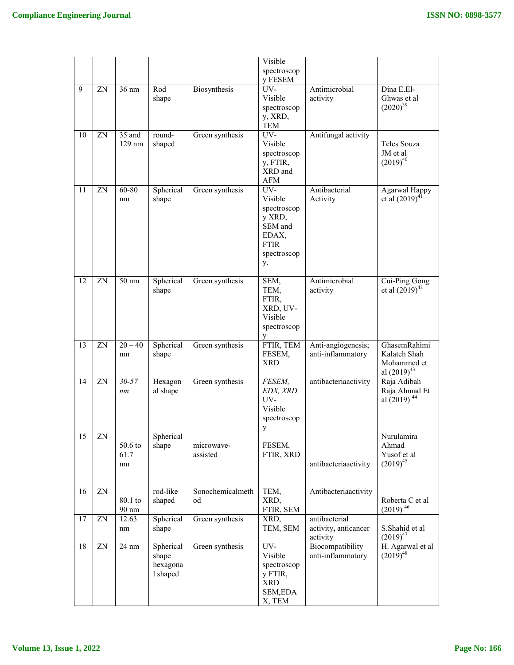|    |    |                         |                                            |                        | Visible                                                                                         |                                                   |                                                                 |
|----|----|-------------------------|--------------------------------------------|------------------------|-------------------------------------------------------------------------------------------------|---------------------------------------------------|-----------------------------------------------------------------|
|    |    |                         |                                            |                        | spectroscop<br>y FESEM                                                                          |                                                   |                                                                 |
| 9  | ZN | $36 \text{ nm}$         | Rod<br>shape                               | Biosynthesis           | UV-<br>Visible<br>spectroscop<br>y, XRD,                                                        | Antimicrobial<br>activity                         | Dina E.El-<br>Ghwas et al<br>$(2020)^{39}$                      |
|    |    |                         |                                            |                        | TEM                                                                                             |                                                   |                                                                 |
| 10 | ZN | $35$ and<br>129 nm      | round-<br>shaped                           | Green synthesis        | UV-<br>Visible<br>spectroscop<br>y, FTIR,<br>XRD and<br>AFM                                     | Antifungal activity                               | Teles Souza<br>JM et al<br>$(2019)^{40}$                        |
| 11 | ZN | 60-80<br>nm             | Spherical<br>shape                         | Green synthesis        | UV-<br>Visible<br>spectroscop<br>y XRD,<br>SEM and<br>EDAX,<br><b>FTIR</b><br>spectroscop<br>y. | Antibacterial<br>Activity                         | Agarwal Happy<br>et al $(2019)^{41}$                            |
| 12 | ZN | $50 \text{ nm}$         | Spherical<br>shape                         | Green synthesis        | SEM,<br>TEM,<br>FTIR,<br>XRD, UV-<br>Visible<br>spectroscop<br>y                                | Antimicrobial<br>activity                         | Cui-Ping Gong<br>et al $(2019)^{42}$                            |
| 13 | ZN | $20 - 40$<br>nm         | Spherical<br>shape                         | Green synthesis        | FTIR, TEM<br>FESEM,<br><b>XRD</b>                                                               | Anti-angiogenesis;<br>anti-inflammatory           | GhasemRahimi<br>Kalateh Shah<br>Mohammed et<br>al $(2019)^{43}$ |
| 14 | ZN | $30 - 57$<br>nm         | Hexagon<br>al shape                        | Green synthesis        | <i>FESEM,</i><br>EDX, XRD,<br>UV-<br>Visible<br>spectroscop<br>y                                | antibacteriaactivity                              | Raja Adibah<br>Raja Ahmad Et<br>al (2019) <sup>44</sup>         |
| 15 | ZN | $50.6$ to<br>61.7<br>nm | Spherical<br>shape                         | microwave-<br>assisted | FESEM,<br>FTIR, XRD                                                                             | antibacteriaactivity                              | Nurulamira<br>Ahmad<br>Yusof et al<br>$(2019)^{45}$             |
| 16 | ZN | 80.1 to<br>90 nm        | rod-like<br>shaped                         | Sonochemicalmeth<br>od | TEM,<br>XRD,<br>FTIR, SEM                                                                       | Antibacteriaactivity                              | Roberta C et al<br>$(2019)$ <sup>46</sup>                       |
| 17 | ZN | 12.63<br>nm             | Spherical<br>shape                         | Green synthesis        | XRD,<br>TEM, SEM                                                                                | antibacterial<br>activity, anticancer<br>activity | S.Shahid et al<br>$(2019)^{47}$                                 |
| 18 | ZN | $24 \text{ nm}$         | Spherical<br>shape<br>hexagona<br>l shaped | Green synthesis        | UV-<br>Visible<br>spectroscop<br>y FTIR,<br>XRD<br>SEM,EDA<br>X, TEM                            | Biocompatibility<br>anti-inflammatory             | H. Agarwal et al<br>$(2019)^{48}$                               |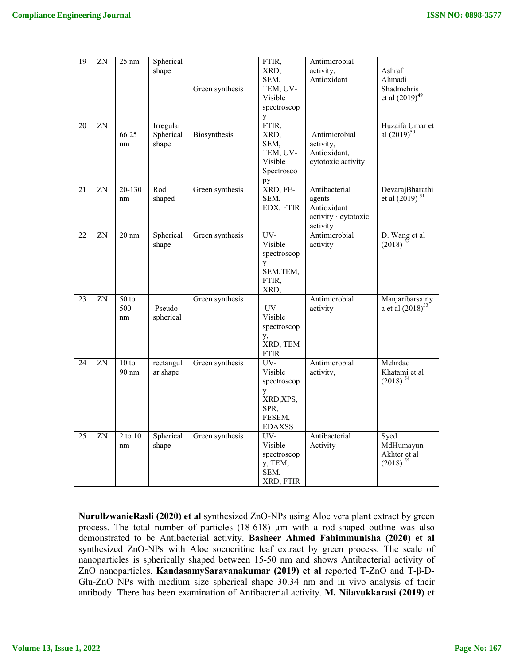| 19 | ZN | $25 \text{ nm}$               | Spherical<br>shape              | Green synthesis | FTIR,<br>XRD,<br>SEM,<br>TEM, UV-<br>Visible<br>spectroscop<br>y                     | Antimicrobial<br>activity,<br>Antioxidant                                  | Ashraf<br>Ahmadi<br>Shadmehris<br>et al $(2019)^{49}$ |
|----|----|-------------------------------|---------------------------------|-----------------|--------------------------------------------------------------------------------------|----------------------------------------------------------------------------|-------------------------------------------------------|
| 20 | ZN | 66.25<br>nm                   | Irregular<br>Spherical<br>shape | Biosynthesis    | FTIR,<br>XRD,<br>SEM,<br>TEM, UV-<br>Visible<br>Spectrosco<br>pу                     | Antimicrobial<br>activity,<br>Antioxidant,<br>cytotoxic activity           | Huzaifa Umar et<br>al $(2019)^{50}$                   |
| 21 | ZN | 20-130<br>nm                  | Rod<br>shaped                   | Green synthesis | XRD, FE-<br>SEM,<br>EDX, FTIR                                                        | Antibacterial<br>agents<br>Antioxidant<br>activity · cytotoxic<br>activity | DevarajBharathi<br>et al $(2019)^{51}$                |
| 22 | ZN | $20 \text{ nm}$               | Spherical<br>shape              | Green synthesis | UV-<br>Visible<br>spectroscop<br>$\mathbf{y}$<br>SEM, TEM,<br>FTIR,<br>XRD,          | Antimicrobial<br>activity                                                  | D. Wang et al<br>$(2018)^{52}$                        |
| 23 | ZN | 50 <sub>to</sub><br>500<br>nm | Pseudo<br>spherical             | Green synthesis | UV-<br>Visible<br>spectroscop<br>у,<br>XRD, TEM<br><b>FTIR</b>                       | Antimicrobial<br>activity                                                  | Manjaribarsainy<br>a et al $(2018)^{53}$              |
| 24 | ZN | $10$ to<br>$90 \text{ nm}$    | rectangul<br>ar shape           | Green synthesis | $UV-$<br>Visible<br>spectroscop<br>y<br>XRD, XPS,<br>SPR,<br>FESEM.<br><b>EDAXSS</b> | Antimicrobial<br>activity,                                                 | Mehrdad<br>Khatami et al<br>$(2018)^{54}$             |
| 25 | ZN | 2 to 10<br>nm                 | Spherical<br>shape              | Green synthesis | $UV-$<br>Visible<br>spectroscop<br>y, TEM,<br>SEM,<br>XRD, FTIR                      | Antibacterial<br>Activity                                                  | Syed<br>MdHumayun<br>Akhter et al<br>$(2018)^{55}$    |

**NurullzwanieRasli (2020) et al** synthesized ZnO-NPs using Aloe vera plant extract by green process. The total number of particles (18-618) µm with a rod-shaped outline was also demonstrated to be Antibacterial activity. **Basheer Ahmed Fahimmunisha (2020) et al** synthesized ZnO-NPs with Aloe sococritine leaf extract by green process. The scale of nanoparticles is spherically shaped between 15-50 nm and shows Antibacterial activity of ZnO nanoparticles. **KandasamySaravanakumar (2019) et al** reported T-ZnO and T-β-D-Glu-ZnO NPs with medium size spherical shape 30.34 nm and in vivo analysis of their antibody. There has been examination of Antibacterial activity. **M. Nilavukkarasi (2019) et**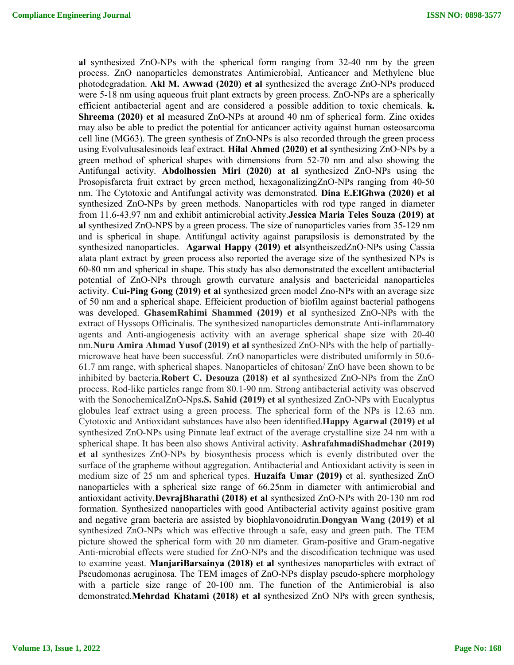**al** synthesized ZnO-NPs with the spherical form ranging from 32-40 nm by the green process. ZnO nanoparticles demonstrates Antimicrobial, Anticancer and Methylene blue photodegradation. **Akl M. Awwad (2020) et al** synthesized the average ZnO-NPs produced were 5-18 nm using aqueous fruit plant extracts by green process. ZnO-NPs are a spherically efficient antibacterial agent and are considered a possible addition to toxic chemicals. **k. Shreema (2020) et al** measured ZnO-NPs at around 40 nm of spherical form. Zinc oxides may also be able to predict the potential for anticancer activity against human osteosarcoma cell line (MG63). The green synthesis of ZnO-NPs is also recorded through the green process using Evolvulusalesinoids leaf extract. **Hilal Ahmed (2020) et al** synthesizing ZnO-NPs by a green method of spherical shapes with dimensions from 52-70 nm and also showing the Antifungal activity. **Abdolhossien Miri (2020) at al** synthesized ZnO-NPs using the Prosopisfarcta fruit extract by green method, hexagonalizingZnO-NPs ranging from 40-50 nm. The Cytotoxic and Antifungal activity was demonstrated. **Dina E.ElGhwa (2020) et al** synthesized ZnO-NPs by green methods. Nanoparticles with rod type ranged in diameter from 11.6-43.97 nm and exhibit antimicrobial activity.**Jessica Maria Teles Souza (2019) at al** synthesized ZnO-NPS by a green process. The size of nanoparticles varies from 35-129 nm and is spherical in shape. Antifungal activity against parapsilosis is demonstrated by the synthesized nanoparticles. **Agarwal Happy (2019) et al**syntheiszedZnO-NPs using Cassia alata plant extract by green process also reported the average size of the synthesized NPs is 60-80 nm and spherical in shape. This study has also demonstrated the excellent antibacterial potential of ZnO-NPs through growth curvature analysis and bactericidal nanoparticles activity. **Cui-Ping Gong (2019) et al** synthesized green model Zno-NPs with an average size of 50 nm and a spherical shape. Effeicient production of biofilm against bacterial pathogens was developed. **GhasemRahimi Shammed (2019) et al** synthesized ZnO-NPs with the extract of Hyssops Officinalis. The synthesized nanoparticles demonstrate Anti-inflammatory agents and Anti-angiogenesis activity with an average spherical shape size with 20-40 nm.**Nuru Amira Ahmad Yusof (2019) et al** synthesized ZnO-NPs with the help of partiallymicrowave heat have been successful. ZnO nanoparticles were distributed uniformly in 50.6- 61.7 nm range, with spherical shapes. Nanoparticles of chitosan/ ZnO have been shown to be inhibited by bacteria.**Robert C. Desouza (2018) et al** synthesized ZnO-NPs from the ZnO process. Rod-like particles range from 80.1-90 nm. Strong antibacterial activity was observed with the SonochemicalZnO-Nps**.S. Sahid (2019) et al** synthesized ZnO-NPs with Eucalyptus globules leaf extract using a green process. The spherical form of the NPs is 12.63 nm. Cytotoxic and Antioxidant substances have also been identified.**Happy Agarwal (2019) et al** synthesized ZnO-NPs using Pinnate leaf extract of the average crystalline size 24 nm with a spherical shape. It has been also shows Antiviral activity. **AshrafahmadiShadmehar (2019) et al** synthesizes ZnO-NPs by biosynthesis process which is evenly distributed over the surface of the grapheme without aggregation. Antibacterial and Antioxidant activity is seen in medium size of 25 nm and spherical types. **Huzaifa Umar (2019)** et al. synthesized ZnO nanoparticles with a spherical size range of 66.25nm in diameter with antimicrobial and antioxidant activity.**DevrajBharathi (2018) et al** synthesized ZnO-NPs with 20-130 nm rod formation. Synthesized nanoparticles with good Antibacterial activity against positive gram and negative gram bacteria are assisted by biophlavonoidrutin.**Dongyan Wang (2019) et al** synthesized ZnO-NPs which was effective through a safe, easy and green path. The TEM picture showed the spherical form with 20 nm diameter. Gram-positive and Gram-negative Anti-microbial effects were studied for ZnO-NPs and the discodification technique was used to examine yeast. **ManjariBarsainya (2018) et al** synthesizes nanoparticles with extract of Pseudomonas aeruginosa. The TEM images of ZnO-NPs display pseudo-sphere morphology with a particle size range of 20-100 nm. The function of the Antimicrobial is also demonstrated.**Mehrdad Khatami (2018) et al** synthesized ZnO NPs with green synthesis,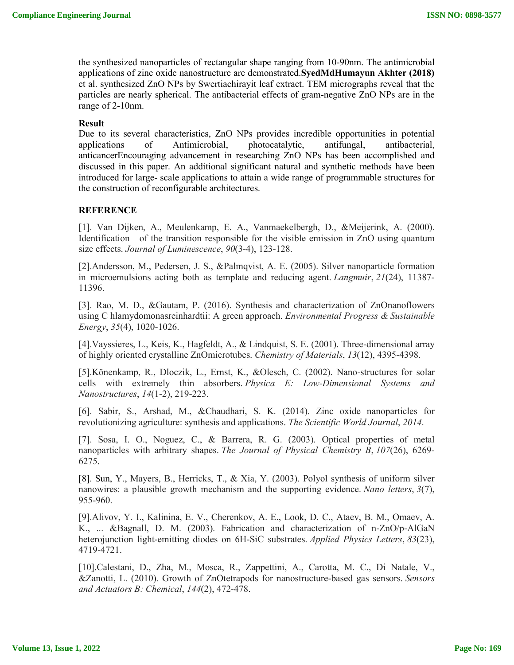the synthesized nanoparticles of rectangular shape ranging from 10-90nm. The antimicrobial applications of zinc oxide nanostructure are demonstrated.**SyedMdHumayun Akhter (2018)** et al. synthesized ZnO NPs by Swertiachirayit leaf extract. TEM micrographs reveal that the particles are nearly spherical. The antibacterial effects of gram-negative ZnO NPs are in the range of 2-10nm.

### **Result**

Due to its several characteristics, ZnO NPs provides incredible opportunities in potential applications of Antimicrobial, photocatalytic, antifungal, antibacterial, applications of Antimicrobial, photocatalytic, antifungal, antibacterial, anticancerEncouraging advancement in researching ZnO NPs has been accomplished and discussed in this paper. An additional significant natural and synthetic methods have been introduced for large- scale applications to attain a wide range of programmable structures for the construction of reconfigurable architectures.

# **REFERENCE**

[1]. Van Dijken, A., Meulenkamp, E. A., Vanmaekelbergh, D., &Meijerink, A. (2000). Identification of the transition responsible for the visible emission in ZnO using quantum size effects. *Journal of Luminescence*, *90*(3-4), 123-128.

[2].Andersson, M., Pedersen, J. S., &Palmqvist, A. E. (2005). Silver nanoparticle formation in microemulsions acting both as template and reducing agent. *Langmuir*, *21*(24), 11387- 11396.

[3]. Rao, M. D., &Gautam, P. (2016). Synthesis and characterization of ZnOnanoflowers using C hlamydomonasreinhardtii: A green approach. *Environmental Progress & Sustainable Energy*, *35*(4), 1020-1026.

[4].Vayssieres, L., Keis, K., Hagfeldt, A., & Lindquist, S. E. (2001). Three-dimensional array of highly oriented crystalline ZnOmicrotubes. *Chemistry of Materials*, *13*(12), 4395-4398.

[5].Könenkamp, R., Dloczik, L., Ernst, K., &Olesch, C. (2002). Nano-structures for solar cells with extremely thin absorbers. *Physica E: Low-Dimensional Systems and Nanostructures*, *14*(1-2), 219-223.

[6]. Sabir, S., Arshad, M., &Chaudhari, S. K. (2014). Zinc oxide nanoparticles for revolutionizing agriculture: synthesis and applications. *The Scientific World Journal*, *2014*.

[7]. Sosa, I. O., Noguez, C., & Barrera, R. G. (2003). Optical properties of metal nanoparticles with arbitrary shapes. *The Journal of Physical Chemistry B*, *107*(26), 6269- 6275.

[8]. Sun, Y., Mayers, B., Herricks, T., & Xia, Y. (2003). Polyol synthesis of uniform silver nanowires: a plausible growth mechanism and the supporting evidence. *Nano letters*, *3*(7), 955-960.

[9].Alivov, Y. I., Kalinina, E. V., Cherenkov, A. E., Look, D. C., Ataev, B. M., Omaev, A. K., ... &Bagnall, D. M. (2003). Fabrication and characterization of n-ZnO/p-AlGaN heterojunction light-emitting diodes on 6H-SiC substrates. *Applied Physics Letters*, *83*(23), 4719-4721.

[10].Calestani, D., Zha, M., Mosca, R., Zappettini, A., Carotta, M. C., Di Natale, V., &Zanotti, L. (2010). Growth of ZnOtetrapods for nanostructure-based gas sensors. *Sensors and Actuators B: Chemical*, *144*(2), 472-478.